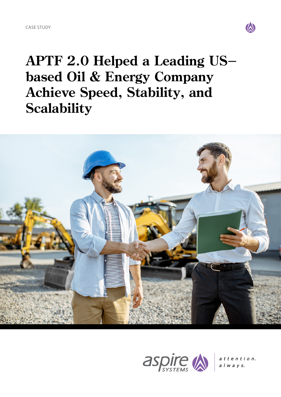

**APTF 2.0 Helped a Leading USbased Oil & Energy Company Achieve Speed, Stability, and Scalability**





attention.  $a \mid w \mid a \mid y \mid s.$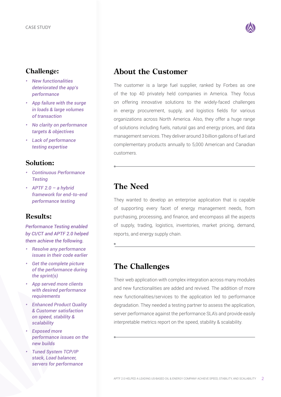

#### **Challenge:**

- *• New functionalities deteriorated the app's performance*
- *• App failure with the surge in loads & large volumes of transaction*
- *• No clarity on performance targets & objectives*
- *• Lack of performance testing expertise*

#### **Solution:**

- *• Continuous Performance Testing*
- *• APTF 2.0 a hybrid framework for end-to-end performance testing*

#### **Results:**

*Performance Testing enabled by CI/CT and APTF 2.0 helped them achieve the following.*

- *• Resolve any performance issues in their code earlier*
- *• Get the complete picture of the performance during the sprint(s)*
- *• App served more clients with desired performance requirements*
- *• Enhanced Product Quality & Customer satisfaction on speed, stability & scalability*
- *• Exposed more performance issues on the new builds*
- *• Tuned System TCP/IP stack, Load balancer, servers for performance*

## **About the Customer**

The customer is a large fuel supplier, ranked by Forbes as one of the top 40 privately held companies in America. They focus on offering innovative solutions to the widely-faced challenges in energy procurement, supply, and logistics fields for various organizations across North America. Also, they offer a huge range of solutions including fuels, natural gas and energy prices, and data management services. They deliver around 3 billion gallons of fuel and complementary products annually to 5,000 American and Canadian customers.

# **The Need**

They wanted to develop an enterprise application that is capable of supporting every facet of energy management needs, from purchasing, processing, and finance, and encompass all the aspects of supply, trading, logistics, inventories, market pricing, demand, reports, and energy supply chain.

## **The Challenges**

Their web application with complex integration across many modules and new functionalities are added and revived. The addition of more new functionalities/services to the application led to performance degradation. They needed a testing partner to assess the application, server performance against the performance SLA's and provide easily interpretable metrics report on the speed, stability & scalability.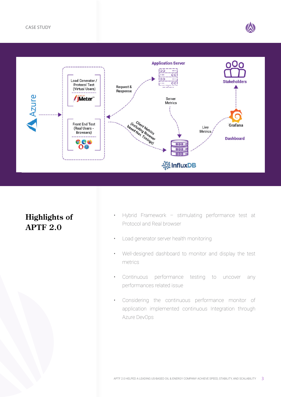

# **Highlights of APTF 2.0**

- Hybrid Framework stimulating performance test at Protocol and Real browser
- Load generator server health monitoring
- Well-designed dashboard to monitor and display the test metrics
- Continuous performance testing to uncover any performances related issue
- Considering the continuous performance monitor of application implemented continuous Integration through Azure DevOps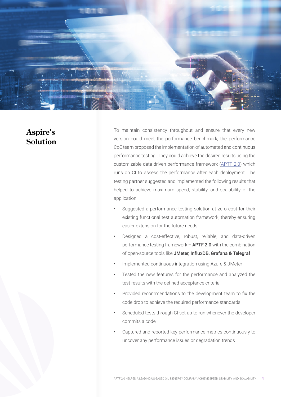

## **Aspire's Solution**

To maintain consistency throughout and ensure that every new version could meet the performance benchmark, the performance CoE team proposed the implementation of automated and continuous performance testing. They could achieve the desired results using the customizable data-driven performance framework [\(APTF 2.0\)](https://www.aspiresys.com/performance-testing-automation-framework/) which runs on CI to assess the performance after each deployment. The testing partner suggested and implemented the following results that helped to achieve maximum speed, stability, and scalability of the application.

- Suggested a performance testing solution at zero cost for their existing functional test automation framework, thereby ensuring easier extension for the future needs
- Designed a cost-effective, robust, reliable, and data-driven performance testing framework – APTF 2.0 with the combination of open-source tools like JMeter, InfluxDB, Grafana & Telegraf
- Implemented continuous integration using Azure & JMeter
- Tested the new features for the performance and analyzed the test results with the defined acceptance criteria.
- Provided recommendations to the development team to fix the code drop to achieve the required performance standards
- Scheduled tests through CI set up to run whenever the developer commits a code
- Captured and reported key performance metrics continuously to uncover any performance issues or degradation trends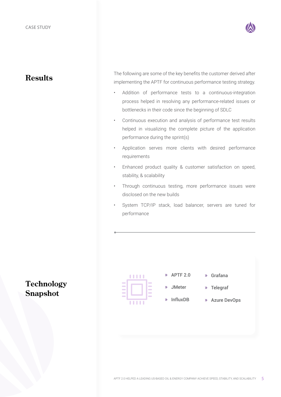

## **Results**

The following are some of the key benefits the customer derived after implementing the APTF for continuous performance testing strategy.

- Addition of performance tests to a continuous-integration process helped in resolving any performance-related issues or bottlenecks in their code since the beginning of SDLC
- Continuous execution and analysis of performance test results helped in visualizing the complete picture of the application performance during the sprint(s)
- Application serves more clients with desired performance requirements
- Enhanced product quality & customer satisfaction on speed, stability, & scalability
- Through continuous testing, more performance issues were disclosed on the new builds
- System TCP/IP stack, load balancer, servers are tuned for performance